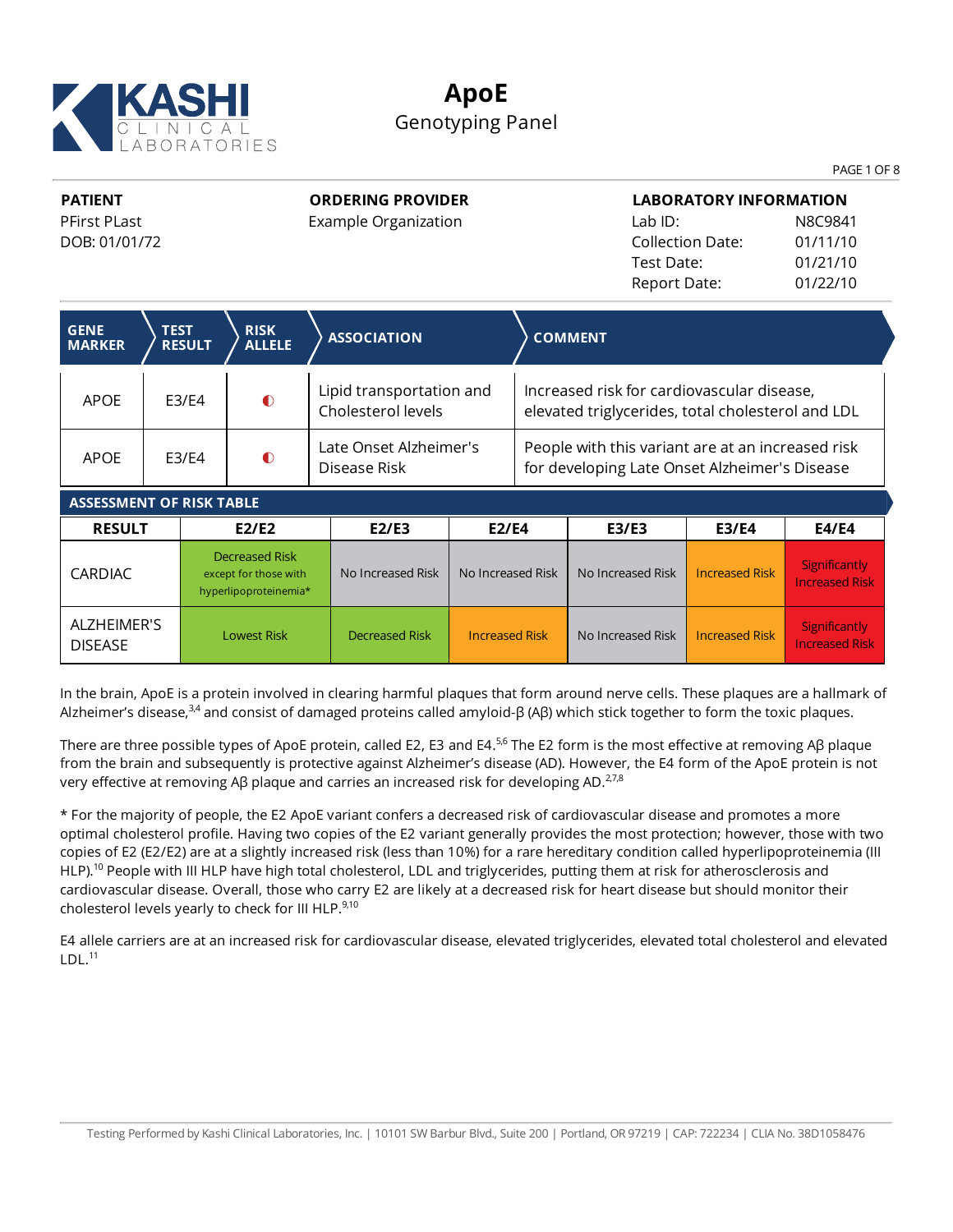

### **ApoE** Genotyping Panel

PAGE 1 OF 8

Increased Risk

**PATIENT** PFirst PLast DOB: 01/01/72

DISEASE

**ORDERING PROVIDER**

Example Organization

**LABORATORY INFORMATION** Lab ID: N8C9841 Collection Date: 01/11/10 Test Date: 01/21/10 Report Date: 01/22/10

| <b>GENE</b><br><b>MARKER</b>    | <b>TEST</b> | <b>RESULT</b> | <b>RISK</b><br><b>ALLELE</b>                                            | <b>ASSOCIATION</b>                             |                       |                                                                                                    | <b>COMMENT</b>    |                       |                                               |
|---------------------------------|-------------|---------------|-------------------------------------------------------------------------|------------------------------------------------|-----------------------|----------------------------------------------------------------------------------------------------|-------------------|-----------------------|-----------------------------------------------|
| <b>APOE</b>                     | E3/E4       |               | $\bullet$                                                               | Lipid transportation and<br>Cholesterol levels |                       | Increased risk for cardiovascular disease,<br>elevated triglycerides, total cholesterol and LDL    |                   |                       |                                               |
| <b>APOE</b>                     | F3/F4       |               | $\bullet$                                                               | Late Onset Alzheimer's<br>Disease Risk         |                       | People with this variant are at an increased risk<br>for developing Late Onset Alzheimer's Disease |                   |                       |                                               |
| <b>ASSESSMENT OF RISK TABLE</b> |             |               |                                                                         |                                                |                       |                                                                                                    |                   |                       |                                               |
| <b>RESULT</b>                   |             |               | E2/E2                                                                   | E2/E3                                          | <b>E2/E4</b>          |                                                                                                    | E3/E3             | <b>E3/E4</b>          | <b>E4/E4</b>                                  |
| <b>CARDIAC</b>                  |             |               | <b>Decreased Risk</b><br>except for those with<br>hyperlipoproteinemia* | No Increased Risk                              | No Increased Risk     |                                                                                                    | No Increased Risk | <b>Increased Risk</b> | <b>Significantly</b><br><b>Increased Risk</b> |
| ALZHEIMER'S<br><b>DICEACE</b>   |             |               | <b>Lowest Risk</b>                                                      | <b>Decreased Risk</b>                          | <b>Increased Risk</b> |                                                                                                    | No Increased Risk | <b>Increased Risk</b> | <b>Significantly</b><br><b>Increased Dick</b> |

In the brain, ApoE is a protein involved in clearing harmful plaques that form around nerve cells. These plaques are a hallmark of Alzheimer's disease,<sup>3,4</sup> and consist of damaged proteins called amyloid-β (Aβ) which stick together to form the toxic plaques.

There are three possible types of ApoE protein, called E2, E3 and E4. $^{56}$  The E2 form is the most effective at removing Aβ plaque from the brain and subsequently is protective against Alzheimer's disease (AD). However, the E4 form of the ApoE protein is not very effective at removing Aβ plaque and carries an increased risk for developing AD. $^{27,8}$ 

\* For the majority of people, the E2 ApoE variant confers a decreased risk of cardiovascular disease and promotes a more optimal cholesterol profile. Having two copies of the E2 variant generally provides the most protection; however, those with two copies of E2 (E2/E2) are at a slightly increased risk (less than 10%) for a rare hereditary condition called hyperlipoproteinemia (III HLP).<sup>10</sup> People with III HLP have high total cholesterol, LDL and triglycerides, putting them at risk for atherosclerosis and cardiovascular disease. Overall, those who carry E2 are likely at a decreased risk for heart disease but should monitor their cholesterol levels yearly to check for III HLP.<sup>9,10</sup>

E4 allele carriers are at an increased risk for cardiovascular disease, elevated triglycerides, elevated total cholesterol and elevated  $LDL.<sup>11</sup>$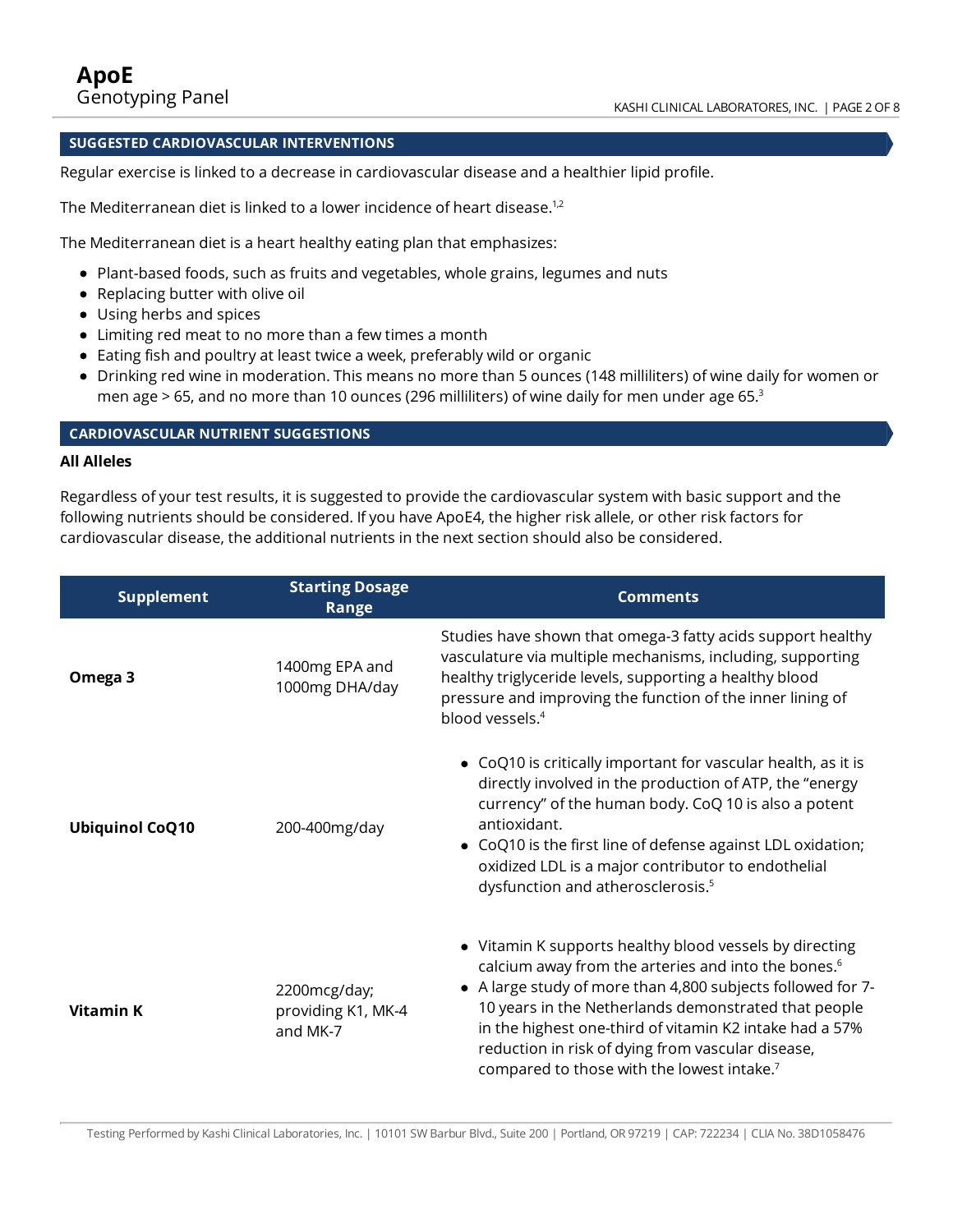### **SUGGESTED CARDIOVASCULAR INTERVENTIONS**

Regular exercise is linked to a decrease in cardiovascular disease and a healthier lipid profile.

The Mediterranean diet is linked to a lower incidence of heart disease. $1,2$ 

The Mediterranean diet is a heart healthy eating plan that emphasizes:

- Plant-based foods, such as fruits and vegetables, whole grains, legumes and nuts
- Replacing butter with olive oil
- Using herbs and spices
- Limiting red meat to no more than a few times a month
- Eating fish and poultry at least twice a week, preferably wild or organic
- Drinking red wine in moderation. This means no more than 5 ounces (148 milliliters) of wine daily for women or men age  $> 65$ , and no more than 10 ounces (296 milliliters) of wine daily for men under age 65. $3$

### **CARDIOVASCULAR NUTRIENT SUGGESTIONS**

### **All Alleles**

Regardless ofyour test results, it is suggested to provide the cardiovascular system with basic support and the following nutrients should be considered. If you have ApoE4, the higher risk allele, or other risk factors for cardiovascular disease, the additional nutrients in the next section should also be considered.

| <b>Supplement</b>      | <b>Starting Dosage</b><br>Range                | <b>Comments</b>                                                                                                                                                                                                                                                                                                                                                                                                             |
|------------------------|------------------------------------------------|-----------------------------------------------------------------------------------------------------------------------------------------------------------------------------------------------------------------------------------------------------------------------------------------------------------------------------------------------------------------------------------------------------------------------------|
| Omega 3                | 1400mg EPA and<br>1000mg DHA/day               | Studies have shown that omega-3 fatty acids support healthy<br>vasculature via multiple mechanisms, including, supporting<br>healthy triglyceride levels, supporting a healthy blood<br>pressure and improving the function of the inner lining of<br>blood vessels. <sup>4</sup>                                                                                                                                           |
| <b>Ubiquinol CoQ10</b> | 200-400mg/day                                  | • CoQ10 is critically important for vascular health, as it is<br>directly involved in the production of ATP, the "energy<br>currency" of the human body. CoQ 10 is also a potent<br>antioxidant.<br>• CoQ10 is the first line of defense against LDL oxidation;<br>oxidized LDL is a major contributor to endothelial<br>dysfunction and atherosclerosis. <sup>5</sup>                                                      |
| <b>Vitamin K</b>       | 2200mcg/day;<br>providing K1, MK-4<br>and MK-7 | • Vitamin K supports healthy blood vessels by directing<br>calcium away from the arteries and into the bones. <sup>6</sup><br>• A large study of more than 4,800 subjects followed for 7-<br>10 years in the Netherlands demonstrated that people<br>in the highest one-third of vitamin K2 intake had a 57%<br>reduction in risk of dying from vascular disease,<br>compared to those with the lowest intake. <sup>7</sup> |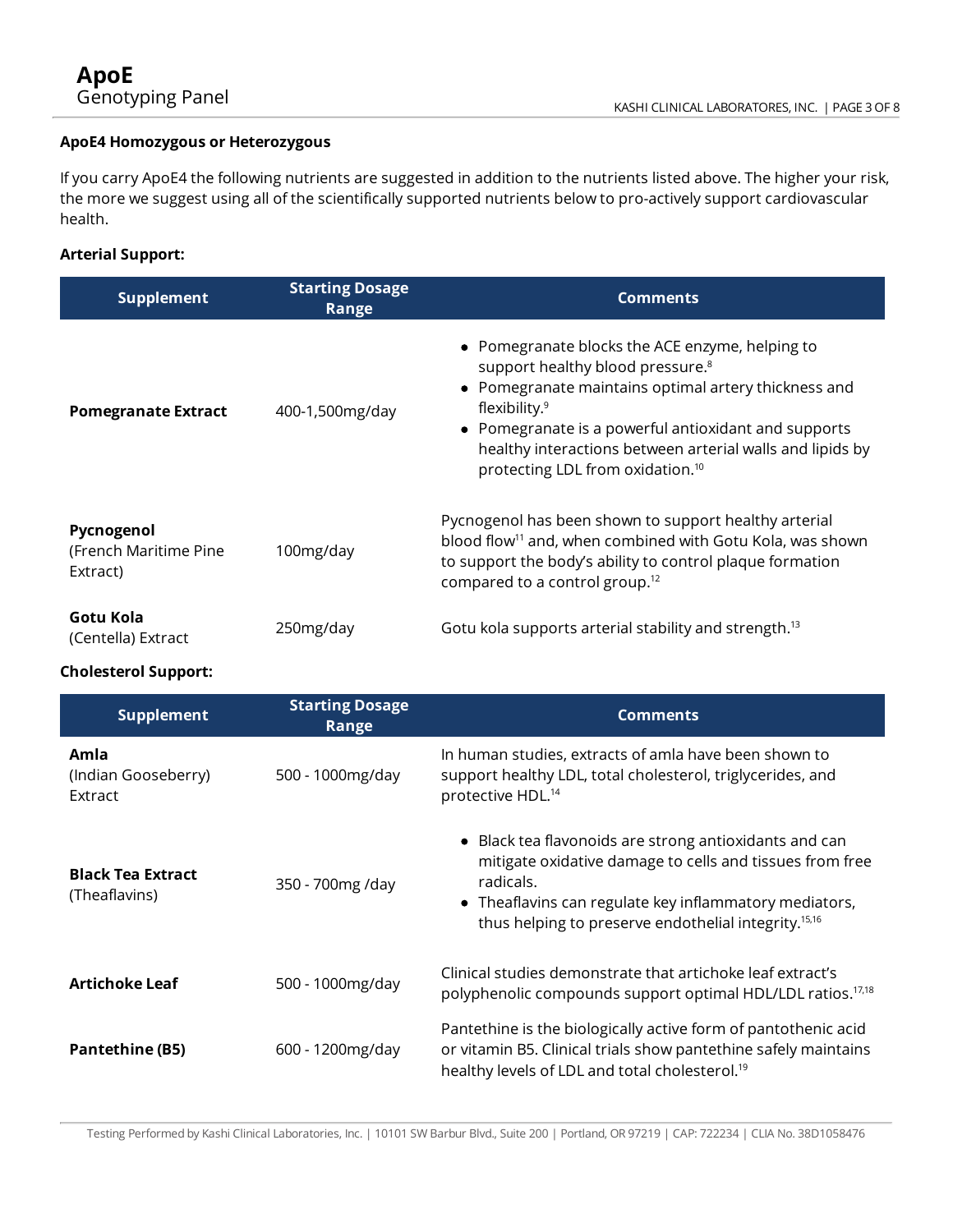### **ApoE4 Homozygous or Heterozygous**

Ifyou carry ApoE4 the following nutrients are suggested in addition to the nutrients listed above. The higher your risk, the more we suggest using all of the scientifically supported nutrients below to pro-actively support cardiovascular health.

### **Arterial Support:**

| <b>Supplement</b>                                | <b>Starting Dosage</b><br>Range | <b>Comments</b>                                                                                                                                                                                                                                                                                                                                         |
|--------------------------------------------------|---------------------------------|---------------------------------------------------------------------------------------------------------------------------------------------------------------------------------------------------------------------------------------------------------------------------------------------------------------------------------------------------------|
| <b>Pomegranate Extract</b>                       | 400-1,500mg/day                 | • Pomegranate blocks the ACE enzyme, helping to<br>support healthy blood pressure. <sup>8</sup><br>Pomegranate maintains optimal artery thickness and<br>flexibility. <sup>9</sup><br>• Pomegranate is a powerful antioxidant and supports<br>healthy interactions between arterial walls and lipids by<br>protecting LDL from oxidation. <sup>10</sup> |
| Pycnogenol<br>(French Maritime Pine)<br>Extract) | 100mg/day                       | Pycnogenol has been shown to support healthy arterial<br>blood flow <sup>11</sup> and, when combined with Gotu Kola, was shown<br>to support the body's ability to control plaque formation<br>compared to a control group. <sup>12</sup>                                                                                                               |
| Gotu Kola<br>(Centella) Extract                  | 250mg/day                       | Gotu kola supports arterial stability and strength. <sup>13</sup>                                                                                                                                                                                                                                                                                       |

### **Cholesterol Support:**

| <b>Supplement</b>                         | <b>Starting Dosage</b><br>Range | <b>Comments</b>                                                                                                                                                                                                                                               |
|-------------------------------------------|---------------------------------|---------------------------------------------------------------------------------------------------------------------------------------------------------------------------------------------------------------------------------------------------------------|
| Amla<br>(Indian Gooseberry)<br>Extract    | 500 - 1000 mg/day               | In human studies, extracts of amla have been shown to<br>support healthy LDL, total cholesterol, triglycerides, and<br>protective HDL. <sup>14</sup>                                                                                                          |
| <b>Black Tea Extract</b><br>(Theaflavins) | 350 - 700mg /day                | • Black tea flavonoids are strong antioxidants and can<br>mitigate oxidative damage to cells and tissues from free<br>radicals.<br>• Theaflavins can regulate key inflammatory mediators,<br>thus helping to preserve endothelial integrity. <sup>15,16</sup> |
| <b>Artichoke Leaf</b>                     | 500 - 1000mg/day                | Clinical studies demonstrate that artichoke leaf extract's<br>polyphenolic compounds support optimal HDL/LDL ratios. <sup>17,18</sup>                                                                                                                         |
| <b>Pantethine (B5)</b>                    | 600 - 1200 mg/day               | Pantethine is the biologically active form of pantothenic acid<br>or vitamin B5. Clinical trials show pantethine safely maintains<br>healthy levels of LDL and total cholesterol. <sup>19</sup>                                                               |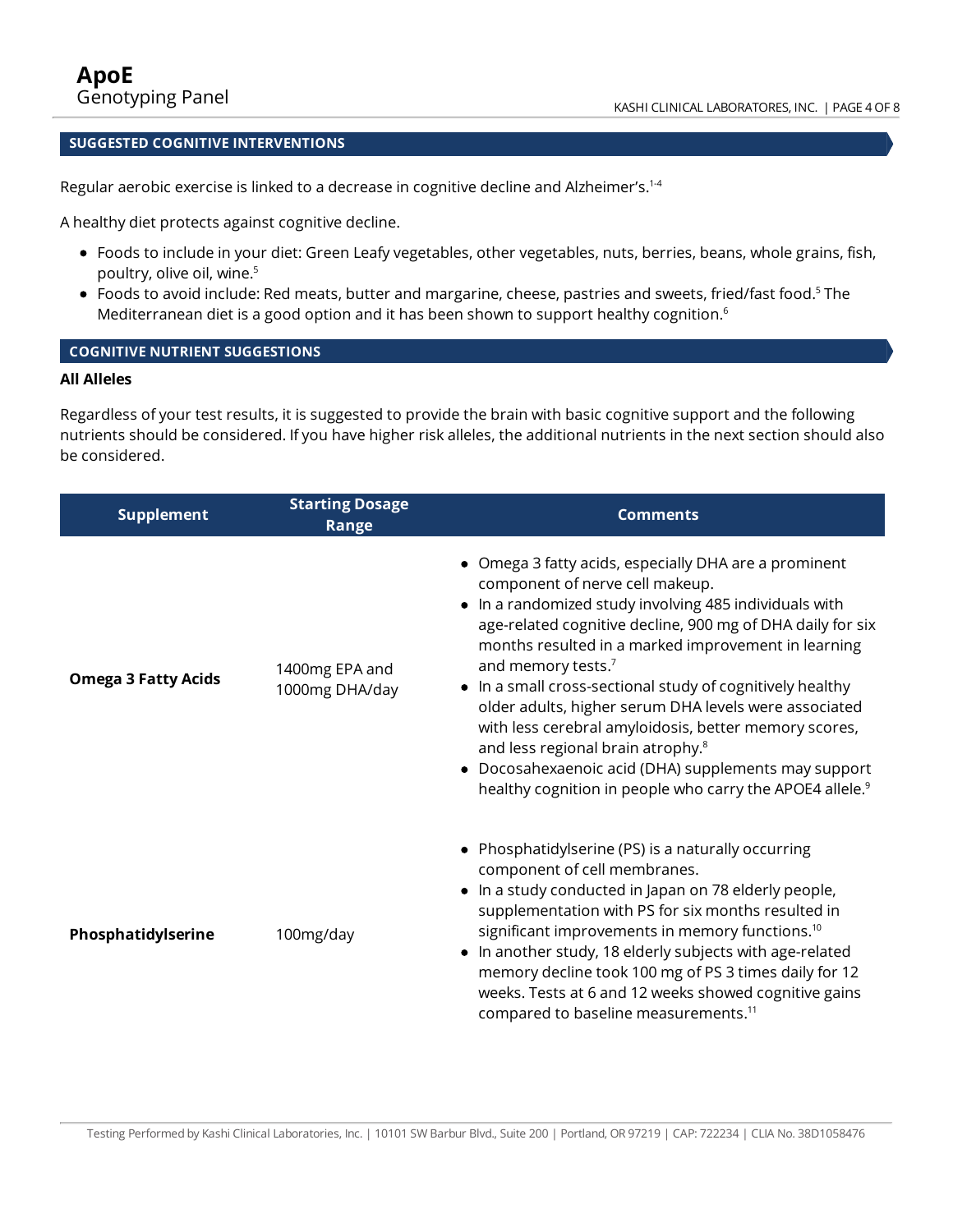### **SUGGESTED COGNITIVE INTERVENTIONS**

Regular aerobic exercise is linked to a decrease in cognitive decline and Alzheimer's.<sup>1-4</sup>

A healthy diet protects against cognitive decline.

- Foods to include in your diet: Green Leafyvegetables, other vegetables, nuts, berries, beans, whole grains, fish, poultry, olive oil, wine. 5
- Foods to avoid include: Red meats, butter and margarine, cheese, pastries and sweets, fried/fast food.<sup>5</sup> The Mediterranean diet is a good option and it has been shown to support healthy cognition.<sup>6</sup>

### **COGNITIVE NUTRIENT SUGGESTIONS**

### **All Alleles**

Regardless ofyour test results, it is suggested to provide the brain with basic cognitive support and the following nutrients should be considered. Ifyou have higher risk alleles, the additional nutrients in the next section should also be considered.

| <b>Supplement</b>          | <b>Starting Dosage</b><br>Range  | <b>Comments</b>                                                                                                                                                                                                                                                                                                                                                                                                                                                                                                                                                                                                                                                                       |
|----------------------------|----------------------------------|---------------------------------------------------------------------------------------------------------------------------------------------------------------------------------------------------------------------------------------------------------------------------------------------------------------------------------------------------------------------------------------------------------------------------------------------------------------------------------------------------------------------------------------------------------------------------------------------------------------------------------------------------------------------------------------|
| <b>Omega 3 Fatty Acids</b> | 1400mg EPA and<br>1000mg DHA/day | Omega 3 fatty acids, especially DHA are a prominent<br>component of nerve cell makeup.<br>In a randomized study involving 485 individuals with<br>$\bullet$<br>age-related cognitive decline, 900 mg of DHA daily for six<br>months resulted in a marked improvement in learning<br>and memory tests. <sup>7</sup><br>In a small cross-sectional study of cognitively healthy<br>٠<br>older adults, higher serum DHA levels were associated<br>with less cerebral amyloidosis, better memory scores,<br>and less regional brain atrophy. <sup>8</sup><br>• Docosahexaenoic acid (DHA) supplements may support<br>healthy cognition in people who carry the APOE4 allele. <sup>9</sup> |
| Phosphatidylserine         | 100mg/day                        | • Phosphatidylserine (PS) is a naturally occurring<br>component of cell membranes.<br>• In a study conducted in Japan on 78 elderly people,<br>supplementation with PS for six months resulted in<br>significant improvements in memory functions. <sup>10</sup><br>• In another study, 18 elderly subjects with age-related<br>memory decline took 100 mg of PS 3 times daily for 12<br>weeks. Tests at 6 and 12 weeks showed cognitive gains<br>compared to baseline measurements. <sup>11</sup>                                                                                                                                                                                    |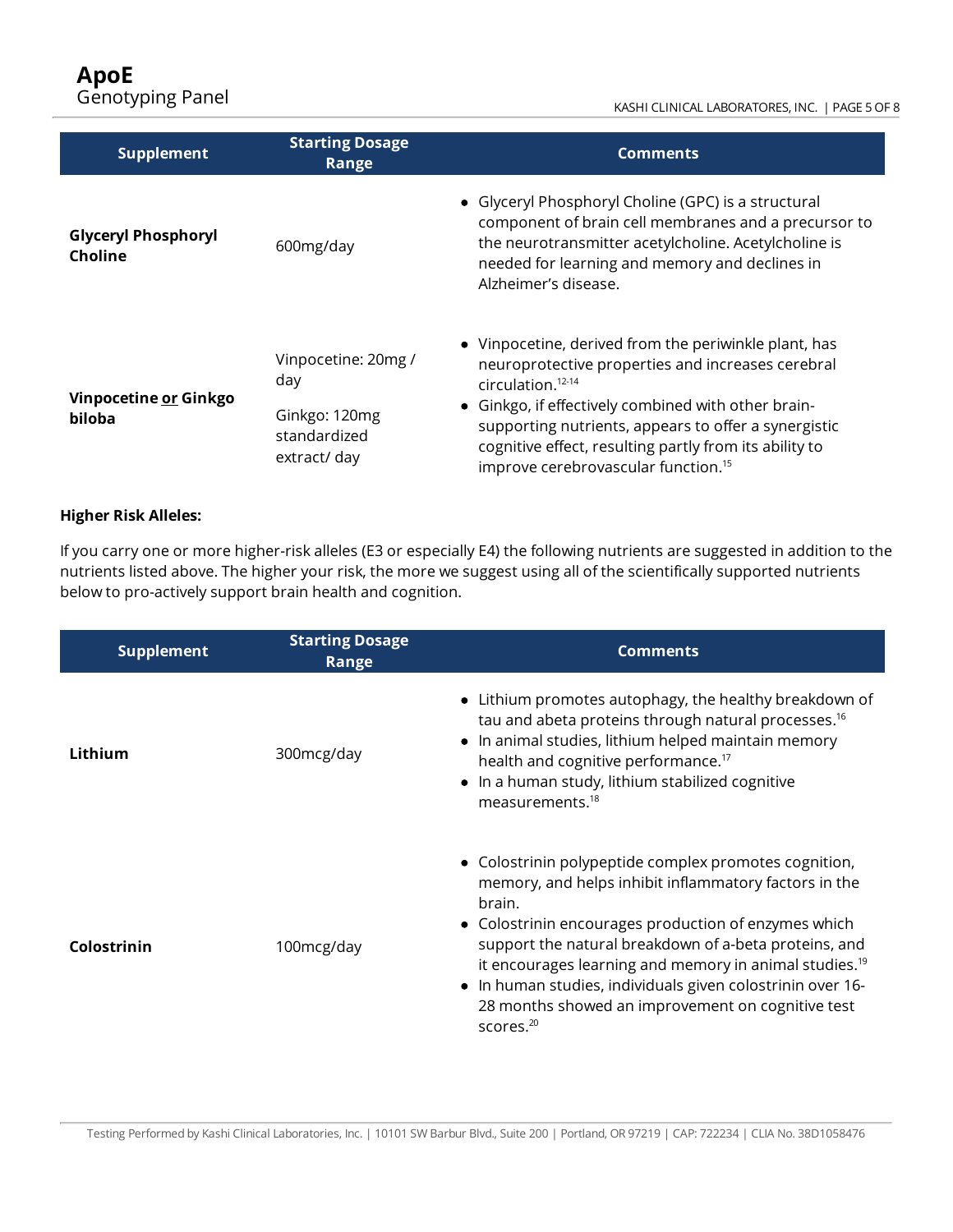### KASHI CLINICAL LABORATORES, INC. | PAGE 5 OF 8

| <b>Supplement</b>                     | <b>Starting Dosage</b><br>Range                                             | <b>Comments</b>                                                                                                                                                                                                                                                                                                                                                            |
|---------------------------------------|-----------------------------------------------------------------------------|----------------------------------------------------------------------------------------------------------------------------------------------------------------------------------------------------------------------------------------------------------------------------------------------------------------------------------------------------------------------------|
| <b>Glyceryl Phosphoryl</b><br>Choline | 600mg/day                                                                   | • Glyceryl Phosphoryl Choline (GPC) is a structural<br>component of brain cell membranes and a precursor to<br>the neurotransmitter acetylcholine. Acetylcholine is<br>needed for learning and memory and declines in<br>Alzheimer's disease.                                                                                                                              |
| Vinpocetine or Ginkgo<br>biloba       | Vinpocetine: 20mg /<br>day<br>Ginkgo: 120mg<br>standardized<br>extract/ day | • Vinpocetine, derived from the periwinkle plant, has<br>neuroprotective properties and increases cerebral<br>$circ$ ulation. <sup>12-14</sup><br>• Ginkgo, if effectively combined with other brain-<br>supporting nutrients, appears to offer a synergistic<br>cognitive effect, resulting partly from its ability to<br>improve cerebrovascular function. <sup>15</sup> |

### **Higher Risk Alleles:**

Ifyou carry one or more higher-risk alleles (E3 or especially E4) the following nutrients are suggested in addition to the nutrients listed above. The higher your risk, the more we suggest using all of the scientifically supported nutrients below to pro-actively support brain health and cognition.

| <b>Supplement</b> | <b>Starting Dosage</b><br>Range | <b>Comments</b>                                                                                                                                                                                                                                                                                                                                                                                                                                               |
|-------------------|---------------------------------|---------------------------------------------------------------------------------------------------------------------------------------------------------------------------------------------------------------------------------------------------------------------------------------------------------------------------------------------------------------------------------------------------------------------------------------------------------------|
| Lithium           | 300mcg/day                      | Lithium promotes autophagy, the healthy breakdown of<br>tau and abeta proteins through natural processes. <sup>16</sup><br>In animal studies, lithium helped maintain memory<br>health and cognitive performance. <sup>17</sup><br>In a human study, lithium stabilized cognitive<br>measurements. <sup>18</sup>                                                                                                                                              |
| Colostrinin       | 100mcg/day                      | • Colostrinin polypeptide complex promotes cognition,<br>memory, and helps inhibit inflammatory factors in the<br>brain.<br>• Colostrinin encourages production of enzymes which<br>support the natural breakdown of a-beta proteins, and<br>it encourages learning and memory in animal studies. <sup>19</sup><br>In human studies, individuals given colostrinin over 16-<br>$\bullet$<br>28 months showed an improvement on cognitive test<br>scores. $20$ |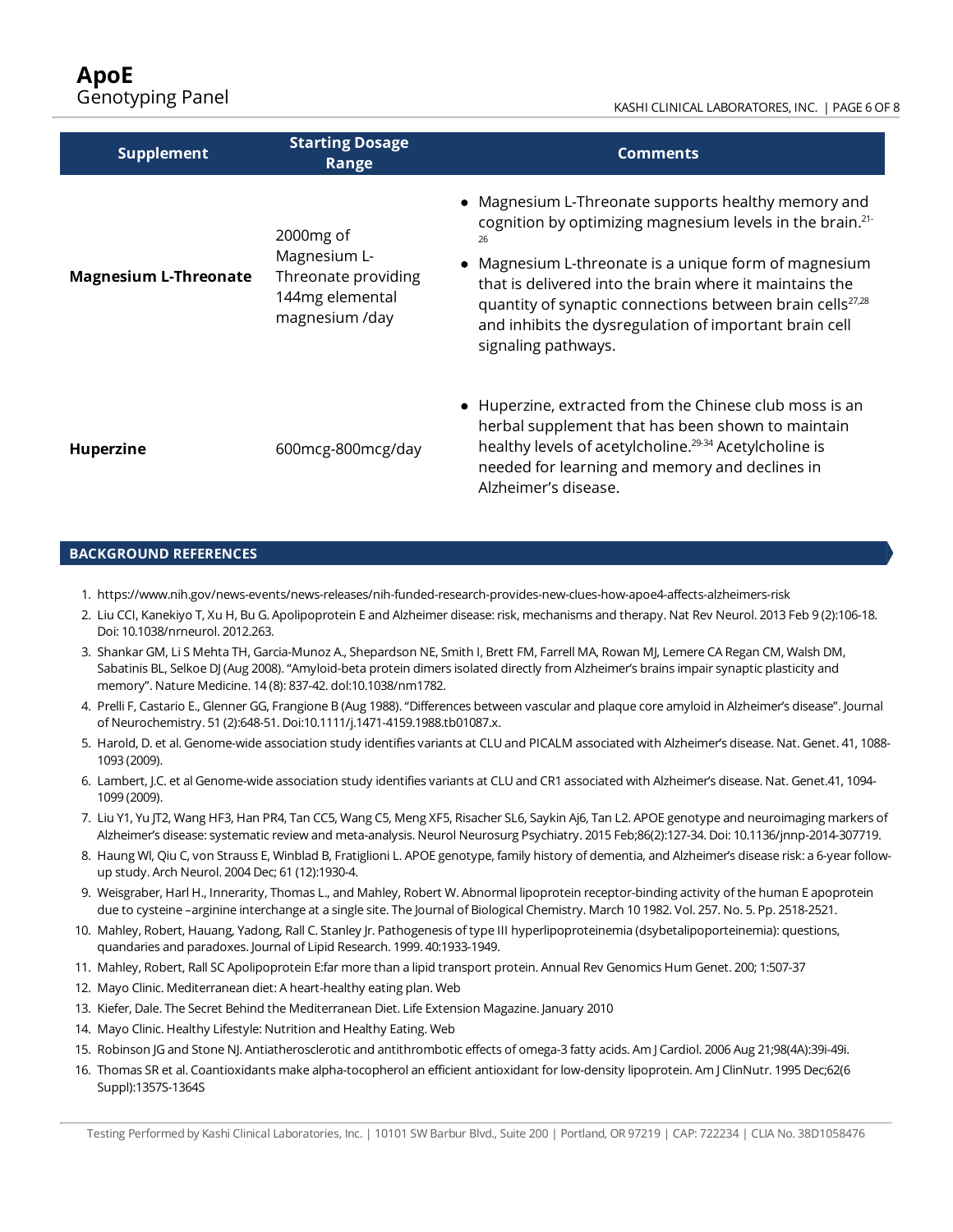#### KASHI CLINICAL LABORATORES, INC. | PAGE 6 OF 8

| <b>Supplement</b>            | <b>Starting Dosage</b><br>Range                                                                   | <b>Comments</b>                                                                                                                                                                                                                                                                                                                                                                                                  |
|------------------------------|---------------------------------------------------------------------------------------------------|------------------------------------------------------------------------------------------------------------------------------------------------------------------------------------------------------------------------------------------------------------------------------------------------------------------------------------------------------------------------------------------------------------------|
| <b>Magnesium L-Threonate</b> | 2000 <sub>mg</sub> of<br>Magnesium L-<br>Threonate providing<br>144mg elemental<br>magnesium /day | • Magnesium L-Threonate supports healthy memory and<br>cognition by optimizing magnesium levels in the brain. <sup>21-</sup><br>26<br>• Magnesium L-threonate is a unique form of magnesium<br>that is delivered into the brain where it maintains the<br>quantity of synaptic connections between brain cells <sup>27,28</sup><br>and inhibits the dysregulation of important brain cell<br>signaling pathways. |
| <b>Huperzine</b>             | 600 mcg-800 mcg/day                                                                               | • Huperzine, extracted from the Chinese club moss is an<br>herbal supplement that has been shown to maintain<br>healthy levels of acetylcholine. <sup>29-34</sup> Acetylcholine is<br>needed for learning and memory and declines in<br>Alzheimer's disease.                                                                                                                                                     |

#### **BACKGROUND REFERENCES**

- 1. https://www.nih.gov/news-events/news-releases/nih-funded-research-provides-new-clues-how-apoe4-affects-alzheimers-risk
- 2. Liu CCI, Kanekiyo T, Xu H, Bu G. Apolipoprotein E and Alzheimer disease: risk, mechanisms and therapy. Nat Rev Neurol. 2013 Feb 9 (2):106-18. Doi: 10.1038/nrneurol. 2012.263.
- 3. Shankar GM, Li S Mehta TH, Garcia-Munoz A., Shepardson NE, Smith I, Brett FM, Farrell MA, Rowan MJ, Lemere CA Regan CM, Walsh DM, Sabatinis BL, Selkoe DJ (Aug 2008). "Amyloid-beta protein dimers isolated directly from Alzheimer's brains impair synaptic plasticity and memory". Nature Medicine. 14 (8): 837-42. dol:10.1038/nm1782.
- 4. PrelliF, Castario E., Glenner GG,Frangione B (Aug 1988). "Differences between vascular and plaque core amyloid in Alzheimer's disease". Journal of Neurochemistry. 51 (2):648-51. Doi:10.1111/j.1471-4159.1988.tb01087.x.
- 5. Harold, D. et al. Genome-wide association study identifies variants at CLU and PICALM associated with Alzheimer's disease. Nat. Genet. 41, 1088-1093 (2009).
- 6. Lambert, J.C. et al Genome-wide association study identifiesvariants at CLU and CR1 associated with Alzheimer's disease. Nat. Genet.41, 1094- 1099 (2009).
- 7. Liu Y1, Yu JT2, Wang HF3, Han PR4, Tan CC5, Wang C5, Meng XF5, Risacher SL6, Saykin Aj6, Tan L2. APOE genotype and neuroimaging markers of Alzheimer's disease: systematic review and meta-analysis. Neurol Neurosurg Psychiatry. 2015 Feb;86(2):127-34. Doi: 10.1136/jnnp-2014-307719.
- 8. Haung WI, Qiu C, von Strauss E, Winblad B, Fratiglioni L. APOE genotype, family history of dementia, and Alzheimer's disease risk: a 6-year followup study. Arch Neurol. 2004 Dec; 61 (12):1930-4.
- 9. Weisgraber, Harl H., Innerarity, Thomas L., and Mahley, Robert W. Abnormal lipoprotein receptor-binding activity of the human E apoprotein due to cysteine –arginine interchange at a single site. The Journal of Biological Chemistry.March 10 1982. Vol. 257. No. 5. Pp. 2518-2521.
- 10. Mahley, Robert, Hauang, Yadong, Rall C. Stanley Jr. Pathogenesis of type III hyperlipoproteinemia (dsybetalipoporteinemia): questions, quandaries and paradoxes. Journal of Lipid Research. 1999. 40:1933-1949.
- 11. Mahley, Robert, Rall SC Apolipoprotein E:far more than a lipid transport protein. Annual Rev Genomics Hum Genet. 200; 1:507-37
- 12. Mayo Clinic. Mediterranean diet: A heart-healthy eating plan. Web
- 13. Kiefer, Dale. The Secret Behind the Mediterranean Diet. Life Extension Magazine. January 2010
- 14. Mayo Clinic. Healthy Lifestyle: Nutrition and Healthy Eating. Web
- 15. Robinson JG and Stone NJ. Antiatherosclerotic and antithrombotic effects of omega-3 fatty acids. AmJ Cardiol. 2006 Aug 21;98(4A):39i-49i.
- 16. Thomas SR et al. Coantioxidants make alpha-tocopherol an efficient antioxidant for low-density lipoprotein. Am J ClinNutr. 1995 Dec;62(6 Suppl):1357S-1364S

Testing Performed by Kashi Clinical Laboratories, Inc. | 10101 SW Barbur Blvd., Suite 200 | Portland, OR 97219 | CAP: 722234 | CLIA No. 38D1058476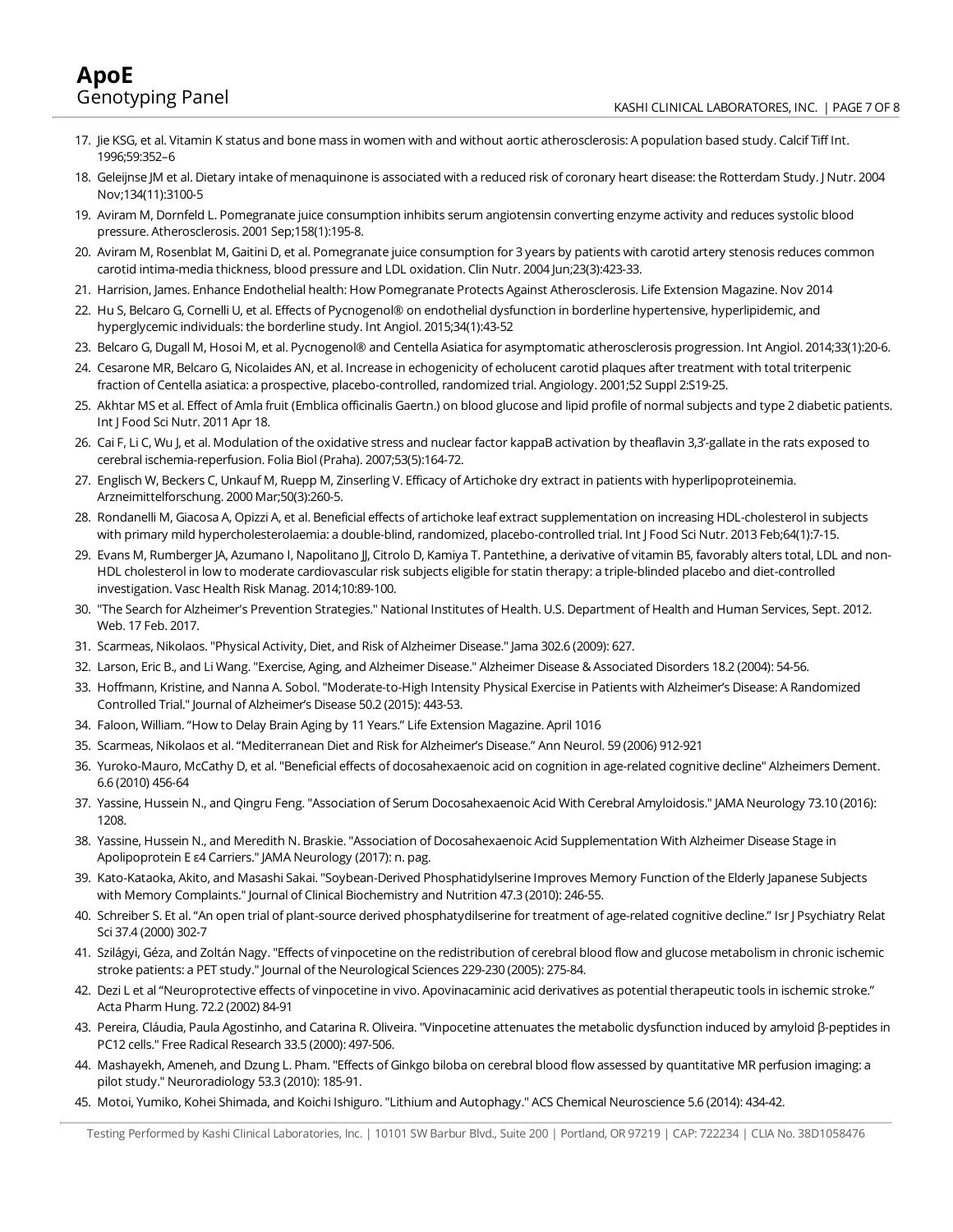- 17. Jie KSG, et al. Vitamin K status and bone mass in women with and without aortic atherosclerosis: A population based study. Calcif Tiff Int. 1996;59:352–6
- 18. Geleijnse JM et al. Dietary intake of menaquinone is associated with a reduced risk of coronary heart disease: the Rotterdam Study. J Nutr. 2004 Nov;134(11):3100-5
- 19. Aviram M, Dornfeld L. Pomegranate juice consumption inhibits serum angiotensin converting enzyme activity and reduces systolic blood pressure. Atherosclerosis. 2001 Sep;158(1):195-8.
- 20. Aviram M, Rosenblat M, Gaitini D, et al. Pomegranate juice consumption for 3 years by patients with carotid artery stenosis reduces common carotid intima-media thickness, blood pressure and LDL oxidation. Clin Nutr. 2004 Jun;23(3):423-33.
- 21. Harrision, James. Enhance Endothelial health: How Pomegranate Protects Against Atherosclerosis. Life Extension Magazine. Nov 2014
- 22. Hu S, Belcaro G, Cornelli U, et al. Effects of Pycnogenol® on endothelial dysfunction in borderline hypertensive, hyperlipidemic, and hyperglycemic individuals: the borderline study. Int Angiol. 2015;34(1):43-52
- 23. Belcaro G, Dugall M, Hosoi M, et al. Pycnogenol® and Centella Asiatica for asymptomatic atherosclerosis progression. Int Angiol. 2014;33(1):20-6.
- 24. Cesarone MR, Belcaro G, Nicolaides AN, et al. Increase in echogenicity of echolucent carotid plaques after treatment with total triterpenic fraction of Centella asiatica: a prospective, placebo-controlled, randomized trial. Angiology. 2001;52 Suppl 2:S19-25.
- 25. Akhtar MS et al. Effect of Amla fruit (Emblica officinalis Gaertn.) on blood glucose and lipid profile of normal subjects and type 2 diabetic patients. Int J Food Sci Nutr. 2011 Apr 18.
- 26. Cai F, Li C, Wu J, et al. Modulation of the oxidative stress and nuclear factor kappaB activation by theaflavin 3,3'-gallate in the rats exposed to cerebral ischemia-reperfusion.Folia Biol (Praha). 2007;53(5):164-72.
- 27. Englisch W, Beckers C, Unkauf M, Ruepp M, Zinserling V. Efficacy of Artichoke dry extract in patients with hyperlipoproteinemia. Arzneimittelforschung. 2000Mar;50(3):260-5.
- 28. RondanelliM, Giacosa A, Opizzi A, et al. Beneficial effects of artichoke leaf extract supplementation on increasing HDL-cholesterol in subjects with primary mild hypercholesterolaemia: a double-blind, randomized, placebo-controlled trial. Int JFood Sci Nutr. 2013 Feb;64(1):7-15.
- 29. Evans M, Rumberger JA, Azumano I, Napolitano JJ, Citrolo D, Kamiya T. Pantethine, a derivative of vitamin B5, favorably alters total, LDL and non-HDL cholesterol in low to moderate cardiovascular risk subjects eligible for statin therapy: a triple-blinded placebo and diet-controlled investigation. Vasc Health Risk Manag. 2014;10:89-100.
- 30. "The Search for Alzheimer's Prevention Strategies." National Institutes of Health. U.S. Department of Health and Human Services, Sept. 2012. Web. 17 Feb. 2017.
- 31. Scarmeas, Nikolaos."Physical Activity, Diet, and Risk of Alzheimer Disease." Jama 302.6 (2009): 627.
- 32. Larson, Eric B., and LiWang."Exercise, Aging, and Alzheimer Disease." Alzheimer Disease & Associated Disorders 18.2 (2004): 54-56.
- 33. Hoffmann, Kristine, and Nanna A. Sobol."Moderate-to-High Intensity Physical Exercise in Patients with Alzheimer's Disease: A Randomized Controlled Trial." Journal of Alzheimer's Disease 50.2 (2015): 443-53.
- 34. Faloon, William. "How to Delay Brain Aging by 11 Years." Life Extension Magazine. April 1016
- 35. Scarmeas, Nikolaos et al. "Mediterranean Diet and Riskfor Alzheimer's Disease." Ann Neurol. 59 (2006) 912-921
- 36. Yuroko-Mauro, McCathy D, et al. "Beneficial effects of docosahexaenoic acid on cognition in age-related cognitive decline" Alzheimers Dement. 6.6 (2010) 456-64
- 37. Yassine, Hussein N., and Qingru Feng."Association of SerumDocosahexaenoic AcidWith Cerebral Amyloidosis." JAMA Neurology 73.10 (2016): 1208.
- 38. Yassine, Hussein N., and Meredith N. Braskie. "Association of Docosahexaenoic Acid Supplementation With Alzheimer Disease Stage in Apolipoprotein E ε4 Carriers." JAMA Neurology (2017): n. pag.
- 39. Kato-Kataoka, Akito, and Masashi Sakai. "Soybean-Derived Phosphatidylserine Improves Memory Function of the Elderly Japanese Subjects with Memory Complaints." Journal of Clinical Biochemistry and Nutrition 47.3 (2010): 246-55.
- 40. Schreiber S. Et al. "An open trial of plant-source derived phosphatydilserine fortreatment of age-related cognitive decline." IsrJ Psychiatry Relat Sci 37.4 (2000) 302-7
- 41. Szilágyi, Géza, and Zoltán Nagy. "Effects of vinpocetine on the redistribution of cerebral blood flow and glucose metabolism in chronic ischemic stroke patients: a PET study." Journal of the Neurological Sciences 229-230 (2005): 275-84.
- 42. Dezi L et al "Neuroprotective effects of vinpocetine in vivo. Apovinacaminic acid derivatives as potential therapeutic tools in ischemic stroke." Acta Pharm Hung. 72.2 (2002) 84-91
- 43. Pereira, Cláudia, Paula Agostinho, and Catarina R.Oliveira."Vinpocetine attenuatesthemetabolic dysfunction induced by amyloid β-peptidesin PC12 cells."Free Radical Research 33.5 (2000): 497-506.
- 44. Mashayekh, Ameneh, and Dzung L. Pham. "Effects of Ginkgo biloba on cerebral blood flow assessed by quantitative MR perfusion imaging: a pilot study." Neuroradiology 53.3 (2010): 185-91.
- 45. Motoi, Yumiko, Kohei Shimada, and Koichi Ishiguro."Lithiumand Autophagy." ACS Chemical Neuroscience 5.6 (2014): 434-42.

Testing Performed by Kashi Clinical Laboratories, Inc. | 10101 SW Barbur Blvd., Suite 200 | Portland, OR 97219 | CAP: 722234 | CLIA No. 38D1058476